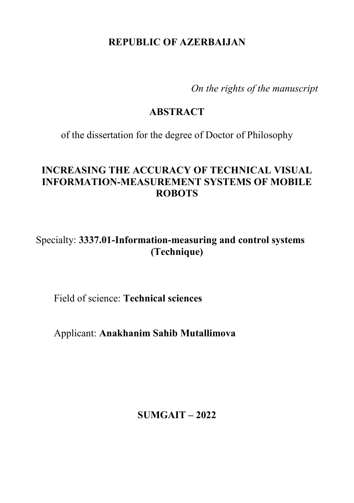# **REPUBLIC OF AZERBAIJAN**

*On the rights of the manuscript* 

#### **ABSTRACT**

of the dissertation for the degree of Doctor of Philosophy

# **INCREASING THE ACCURACY OF TECHNICAL VISUAL INFORMATION-MEASUREMENT SYSTEMS OF MOBILE ROBOTS**

Specialty: **3337.01-Information-measuring and control systems (Technique)**

Field of science: **Technical sciences**

Applicant: **Anakhanim Sahib Mutallimova**

**SUMGAIT – 2022**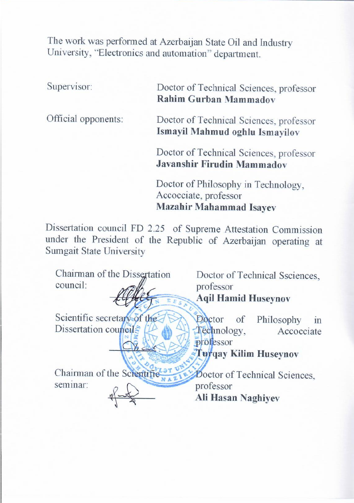The work was performed at Azerbaijan State Oil and Industry University, "Electronics and automation" department.

Supervisor: Doctor of Technical Sciences, professor **Rahim Gurban Mammadov**

Official opponents: Doctor of Technical Sciences, professor **Ismayil Mahmud oghlu Ismayilov** 

> Doctor of Technical Sciences, professor **Javanshir Firudin Mammadov**

Doctor of Philosophy in Technology, Accocciate, professor **Mazahir Mahammad Isayev**

**Ali Hasan Naghiyev** 

Dissertation council FD 2.25 of Supreme Attestation Commission under the President of the Republic of Azerbaijan operating at Sumgait State University

Chairman of the Dissertation council: Doctor of Technical Ssciences,<br>professor professo Aqii Hamid Huseyno Seientific secretary of the Dissertation council: Doctor of Philosophy in  $\triangle$ professor **Turqay Kilim Huseynov** Chairman of the Scientific seminar: **Doctor of Technical Sciences,**<br>professor professor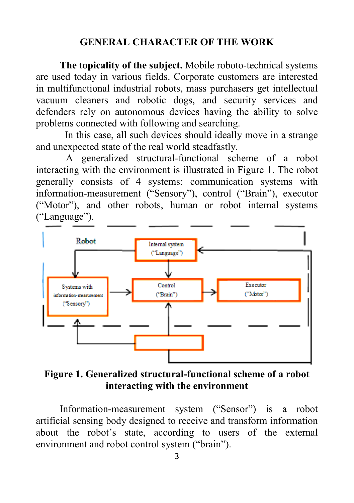### **GENERAL CHARACTER OF THE WORK**

**The topicality of the subject.** Mobile roboto-technical systems are used today in various fields. Corporate customers are interested in multifunctional industrial robots, mass purchasers get intellectual vacuum cleaners and robotic dogs, and security services and defenders rely on autonomous devices having the ability to solve problems connected with following and searching.

 In this case, all such devices should ideally move in a strange and unexpected state of the real world steadfastly.

A generalized structural-functional scheme of a robot interacting with the environment is illustrated in Figure 1. The robot generally consists of 4 systems: communication systems with information-measurement ("Sensory"), control ("Brain"), executor ("Motor"), and other robots, human or robot internal systems ("Language").



**Figure 1. Generalized structural-functional scheme of a robot interacting with the environment**

Information-measurement system ("Sensor") is a robot artificial sensing body designed to receive and transform information about the robot's state, according to users of the external environment and robot control system ("brain").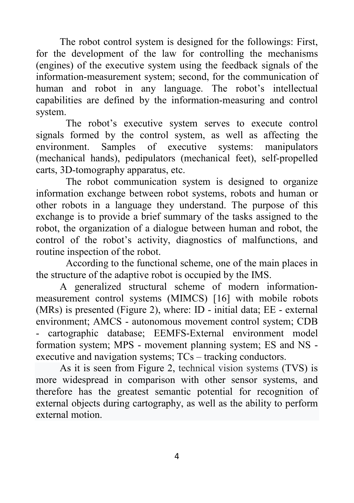The robot control system is designed for the followings: First, for the development of the law for controlling the mechanisms (engines) of the executive system using the feedback signals of the information-measurement system; second, for the communication of human and robot in any language. The robot's intellectual capabilities are defined by the information-measuring and control system.

The robot's executive system serves to execute control signals formed by the control system, as well as affecting the environment. Samples of executive systems: manipulators (mechanical hands), pedipulators (mechanical feet), self-propelled carts, 3D-tomography apparatus, etc.

The robot communication system is designed to organize information exchange between robot systems, robots and human or other robots in a language they understand. The purpose of this exchange is to provide a brief summary of the tasks assigned to the robot, the organization of a dialogue between human and robot, the control of the robot's activity, diagnostics of malfunctions, and routine inspection of the robot.

According to the functional scheme, one of the main places in the structure of the adaptive robot is occupied by the IMS.

A generalized structural scheme of modern informationmeasurement control systems (MIMCS) [16] with mobile robots (MRs) is presented (Figure 2), where: ID - initial data; EE - external environment; AMCS - autonomous movement control system; CDB - cartographic database; EEMFS-External environment model formation system; MPS - movement planning system; ES and NS executive and navigation systems; TCs – tracking conductors.

As it is seen from Figure 2, technical vision systems (TVS) is more widespread in comparison with other sensor systems, and therefore has the greatest semantic potential for recognition of external objects during cartography, as well as the ability to perform external motion.

4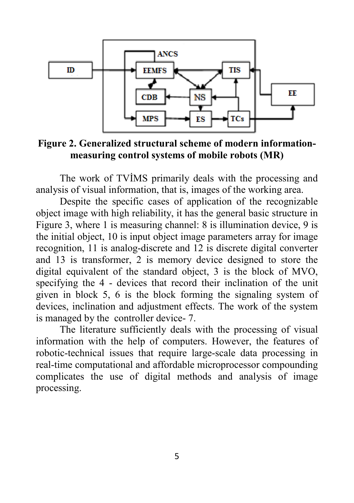

**Figure 2. Generalized structural scheme of modern informationmeasuring control systems of mobile robots (MR)**

The work of TVİMS primarily deals with the processing and analysis of visual information, that is, images of the working area.

Despite the specific cases of application of the recognizable object image with high reliability, it has the general basic structure in Figure 3, where 1 is measuring channel: 8 is illumination device, 9 is the initial object, 10 is input object image parameters array for image recognition, 11 is analog-discrete and 12 is discrete digital converter and 13 is transformer, 2 is memory device designed to store the digital equivalent of the standard object, 3 is the block of MVO, specifying the 4 - devices that record their inclination of the unit given in block 5, 6 is the block forming the signaling system of devices, inclination and adjustment effects. The work of the system is managed by the controller device- 7.

The literature sufficiently deals with the processing of visual information with the help of computers. However, the features of robotic-technical issues that require large-scale data processing in real-time computational and affordable microprocessor compounding complicates the use of digital methods and analysis of image processing.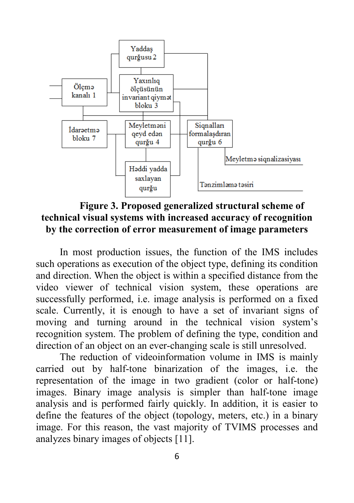

**Figure 3. Proposed generalized structural scheme of technical visual systems with increased accuracy of recognition by the correction of error measurement of image parameters**

In most production issues, the function of the IMS includes such operations as execution of the object type, defining its condition and direction. When the object is within a specified distance from the video viewer of technical vision system, these operations are successfully performed, i.e. image analysis is performed on a fixed scale. Currently, it is enough to have a set of invariant signs of moving and turning around in the technical vision system's recognition system. The problem of defining the type, condition and direction of an object on an ever-changing scale is still unresolved.

The reduction of videoinformation volume in IMS is mainly carried out by half-tone binarization of the images, i.e. the representation of the image in two gradient (color or half-tone) images. Binary image analysis is simpler than half-tone image analysis and is performed fairly quickly. In addition, it is easier to define the features of the object (topology, meters, etc.) in a binary image. For this reason, the vast majority of TVIMS processes and analyzes binary images of objects [11].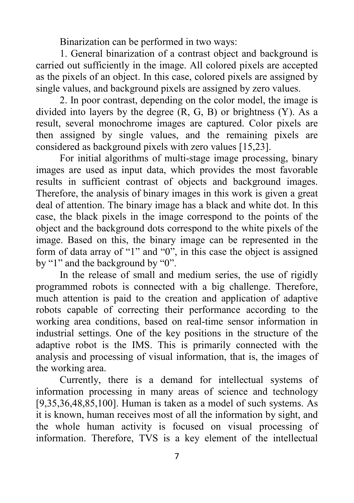Binarization can be performed in two ways:

1. General binarization of a contrast object and background is carried out sufficiently in the image. All colored pixels are accepted as the pixels of an object. In this case, colored pixels are assigned by single values, and background pixels are assigned by zero values.

2. In poor contrast, depending on the color model, the image is divided into layers by the degree  $(R, G, B)$  or brightness  $(Y)$ . As a result, several monochrome images are captured. Color pixels are then assigned by single values, and the remaining pixels are considered as background pixels with zero values [15,23].

For initial algorithms of multi-stage image processing, binary images are used as input data, which provides the most favorable results in sufficient contrast of objects and background images. Therefore, the analysis of binary images in this work is given a great deal of attention. The binary image has a black and white dot. In this case, the black pixels in the image correspond to the points of the object and the background dots correspond to the white pixels of the image. Based on this, the binary image can be represented in the form of data array of "1" and "0", in this case the object is assigned by "1" and the background by "0".

In the release of small and medium series, the use of rigidly programmed robots is connected with a big challenge. Therefore, much attention is paid to the creation and application of adaptive robots capable of correcting their performance according to the working area conditions, based on real-time sensor information in industrial settings. One of the key positions in the structure of the adaptive robot is the IMS. This is primarily connected with the analysis and processing of visual information, that is, the images of the working area.

Currently, there is a demand for intellectual systems of information processing in many areas of science and technology [9,35,36,48,85,100]. Human is taken as a model of such systems. As it is known, human receives most of all the information by sight, and the whole human activity is focused on visual processing of information. Therefore, TVS is a key element of the intellectual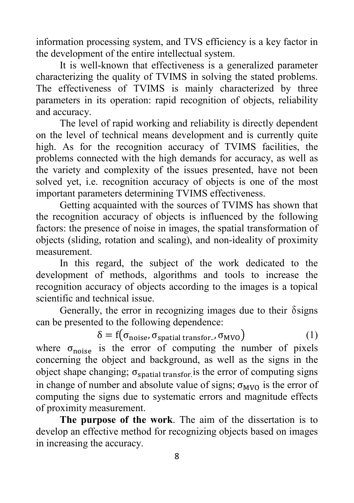information processing system, and TVS efficiency is a key factor in the development of the entire intellectual system.

It is well-known that effectiveness is a generalized parameter characterizing the quality of TVIMS in solving the stated problems. The effectiveness of TVIMS is mainly characterized by three parameters in its operation: rapid recognition of objects, reliability and accuracy.

The level of rapid working and reliability is directly dependent on the level of technical means development and is currently quite high. As for the recognition accuracy of TVIMS facilities, the problems connected with the high demands for accuracy, as well as the variety and complexity of the issues presented, have not been solved yet, i.e. recognition accuracy of objects is one of the most important parameters determining TVIMS effectiveness.

Getting acquainted with the sources of TVIMS has shown that the recognition accuracy of objects is influenced by the following factors: the presence of noise in images, the spatial transformation of objects (sliding, rotation and scaling), and non-ideality of proximity measurement.

In this regard, the subject of the work dedicated to the development of methods, algorithms and tools to increase the recognition accuracy of objects according to the images is a topical scientific and technical issue.

Generally, the error in recognizing images due to their δsigns can be presented to the following dependence:

 $\delta = f(\sigma_{\text{noise}}, \sigma_{\text{spatial transform.}}, \sigma_{\text{MVO}})$  (1) where  $\sigma_{\text{noise}}$  is the error of computing the number of pixels concerning the object and background, as well as the signs in the object shape changing;  $\sigma_{\text{spatial transform}}$  is the error of computing signs in change of number and absolute value of signs;  $\sigma_{MVO}$  is the error of computing the signs due to systematic errors and magnitude effects of proximity measurement.

**The purpose of the work**. The aim of the dissertation is to develop an effective method for recognizing objects based on images in increasing the accuracy.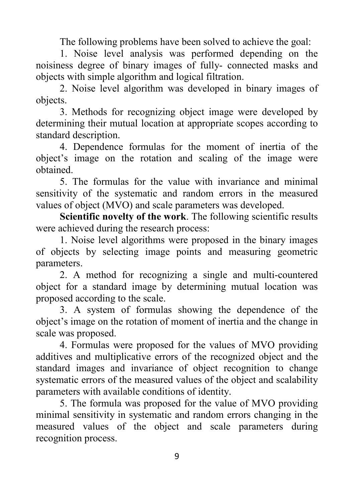The following problems have been solved to achieve the goal:

1. Noise level analysis was performed depending on the noisiness degree of binary images of fully- connected masks and objects with simple algorithm and logical filtration.

2. Noise level algorithm was developed in binary images of objects.

3. Methods for recognizing object image were developed by determining their mutual location at appropriate scopes according to standard description.

4. Dependence formulas for the moment of inertia of the object's image on the rotation and scaling of the image were obtained.

5. The formulas for the value with invariance and minimal sensitivity of the systematic and random errors in the measured values of object (MVO) and scale parameters was developed.

**Scientific novelty of the work**. The following scientific results were achieved during the research process:

1. Noise level algorithms were proposed in the binary images of objects by selecting image points and measuring geometric parameters.

2. A method for recognizing a single and multi-countered object for a standard image by determining mutual location was proposed according to the scale.

3. A system of formulas showing the dependence of the object's image on the rotation of moment of inertia and the change in scale was proposed.

4. Formulas were proposed for the values of MVO providing additives and multiplicative errors of the recognized object and the standard images and invariance of object recognition to change systematic errors of the measured values of the object and scalability parameters with available conditions of identity.

5. The formula was proposed for the value of MVO providing minimal sensitivity in systematic and random errors changing in the measured values of the object and scale parameters during recognition process.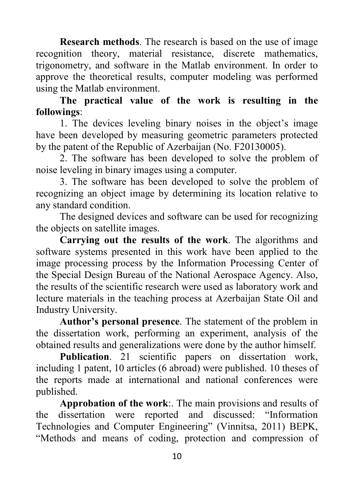**Research methods**. The research is based on the use of image recognition theory, material resistance, discrete mathematics, trigonometry, and software in the Matlab environment. In order to approve the theoretical results, computer modeling was performed using the Matlab environment.

**The practical value of the work is resulting in the followings**:

1. The devices leveling binary noises in the object's image have been developed by measuring geometric parameters protected by the patent of the Republic of Azerbaijan (No. F20130005).

2. The software has been developed to solve the problem of noise leveling in binary images using a computer.

3. The software has been developed to solve the problem of recognizing an object image by determining its location relative to any standard condition.

The designed devices and software can be used for recognizing the objects on satellite images.

**Carrying out the results of the work**. The algorithms and software systems presented in this work have been applied to the image processing process by the Information Processing Center of the Special Design Bureau of the National Aerospace Agency. Also, the results of the scientific research were used as laboratory work and lecture materials in the teaching process at Azerbaijan State Oil and Industry University.

**Author's personal presence**. The statement of the problem in the dissertation work, performing an experiment, analysis of the obtained results and generalizations were done by the author himself.

Publication. 21 scientific papers on dissertation work, including 1 patent, 10 articles (6 abroad) were published. 10 theses of the reports made at international and national conferences were published.

**Approbation of the work**:. The main provisions and results of the dissertation were reported and discussed: "Information Technologies and Computer Engineering" (Vinnitsa, 2011) BEPK, "Methods and means of coding, protection and compression of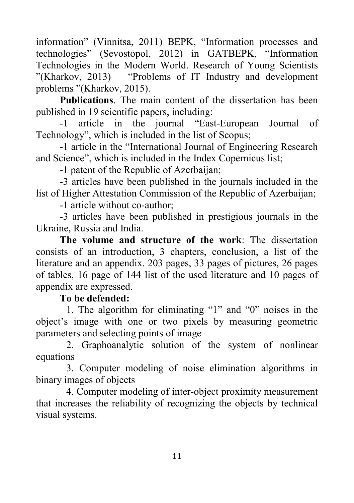information" (Vinnitsa, 2011) BEPK, "Information processes and technologies" (Sevostopol, 2012) in GATBEPK, "Information Technologies in the Modern World. Research of Young Scientists "(Kharkov, 2013) "Problems of IT Industry and development problems "(Kharkov, 2015).

**Publications**. The main content of the dissertation has been published in 19 scientific papers, including:

-1 article in the journal "East-European Journal of Technology", which is included in the list of Scopus;

-1 article in the "International Journal of Engineering Research and Science", which is included in the Index Copernicus list;

-1 patent of the Republic of Azerbaijan;

-3 articles have been published in the journals included in the list of Higher Attestation Commission of the Republic of Azerbaijan;

-1 article without co-author;

-3 articles have been published in prestigious journals in the Ukraine, Russia and India.

**The volume and structure of the work**: The dissertation consists of an introduction, 3 chapters, conclusion, a list of the literature and an appendix. 203 pages, 33 pages of pictures, 26 pages of tables, 16 page of 144 list of the used literature and 10 pages of appendix are expressed.

### **To be defended:**

1. The algorithm for eliminating "1" and "0" noises in the object's image with one or two pixels by measuring geometric parameters and selecting points of image

2. Graphoanalytic solution of the system of nonlinear equations

3. Computer modeling of noise elimination algorithms in binary images of objects

4. Computer modeling of inter-object proximity measurement that increases the reliability of recognizing the objects by technical visual systems.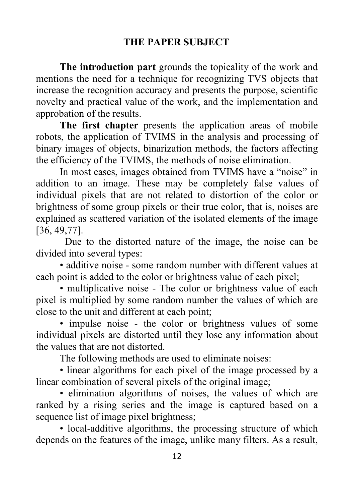# **THE PAPER SUBJECT**

**The introduction part** grounds the topicality of the work and mentions the need for a technique for recognizing TVS objects that increase the recognition accuracy and presents the purpose, scientific novelty and practical value of the work, and the implementation and approbation of the results.

**The first chapter** presents the application areas of mobile robots, the application of TVIMS in the analysis and processing of binary images of objects, binarization methods, the factors affecting the efficiency of the TVIMS, the methods of noise elimination.

In most cases, images obtained from TVIMS have a "noise" in addition to an image. These may be completely false values of individual pixels that are not related to distortion of the color or brightness of some group pixels or their true color, that is, noises are explained as scattered variation of the isolated elements of the image [36, 49,77].

 Due to the distorted nature of the image, the noise can be divided into several types:

• additive noise - some random number with different values at each point is added to the color or brightness value of each pixel;

• multiplicative noise - The color or brightness value of each pixel is multiplied by some random number the values of which are close to the unit and different at each point;

• impulse noise - the color or brightness values of some individual pixels are distorted until they lose any information about the values that are not distorted.

The following methods are used to eliminate noises:

• linear algorithms for each pixel of the image processed by a linear combination of several pixels of the original image;

• elimination algorithms of noises, the values of which are ranked by a rising series and the image is captured based on a sequence list of image pixel brightness;

• local-additive algorithms, the processing structure of which depends on the features of the image, unlike many filters. As a result,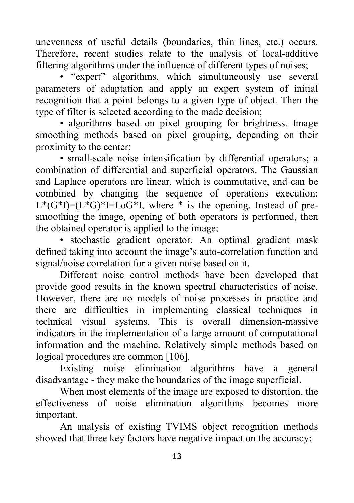unevenness of useful details (boundaries, thin lines, etc.) occurs. Therefore, recent studies relate to the analysis of local-additive filtering algorithms under the influence of different types of noises;

• "expert" algorithms, which simultaneously use several parameters of adaptation and apply an expert system of initial recognition that a point belongs to a given type of object. Then the type of filter is selected according to the made decision;

• algorithms based on pixel grouping for brightness. Image smoothing methods based on pixel grouping, depending on their proximity to the center;

• small-scale noise intensification by differential operators; a combination of differential and superficial operators. The Gaussian and Laplace operators are linear, which is commutative, and can be combined by changing the sequence of operations execution:  $L^*(G^*I) = (L^*G)^*I = LoG^*I$ , where  $*$  is the opening. Instead of presmoothing the image, opening of both operators is performed, then the obtained operator is applied to the image;

• stochastic gradient operator. An optimal gradient mask defined taking into account the image's auto-correlation function and signal/noise correlation for a given noise based on it.

Different noise control methods have been developed that provide good results in the known spectral characteristics of noise. However, there are no models of noise processes in practice and there are difficulties in implementing classical techniques in technical visual systems. This is overall dimension-massive indicators in the implementation of a large amount of computational information and the machine. Relatively simple methods based on logical procedures are common [106].

Existing noise elimination algorithms have a general disadvantage - they make the boundaries of the image superficial.

When most elements of the image are exposed to distortion, the effectiveness of noise elimination algorithms becomes more important.

An analysis of existing TVIMS object recognition methods showed that three key factors have negative impact on the accuracy: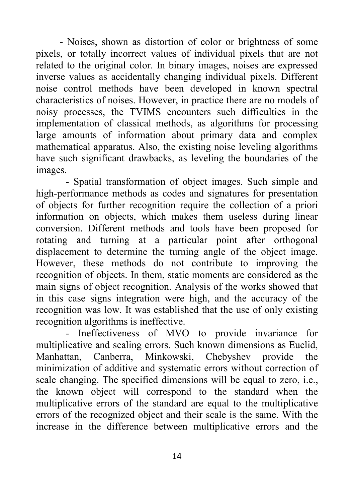- Noises, shown as distortion of color or brightness of some pixels, or totally incorrect values of individual pixels that are not related to the original color. In binary images, noises are expressed inverse values as accidentally changing individual pixels. Different noise control methods have been developed in known spectral characteristics of noises. However, in practice there are no models of noisy processes, the TVIMS encounters such difficulties in the implementation of classical methods, as algorithms for processing large amounts of information about primary data and complex mathematical apparatus. Also, the existing noise leveling algorithms have such significant drawbacks, as leveling the boundaries of the images.

- Spatial transformation of object images. Such simple and high-performance methods as codes and signatures for presentation of objects for further recognition require the collection of a priori information on objects, which makes them useless during linear conversion. Different methods and tools have been proposed for rotating and turning at a particular point after orthogonal displacement to determine the turning angle of the object image. However, these methods do not contribute to improving the recognition of objects. In them, static moments are considered as the main signs of object recognition. Analysis of the works showed that in this case signs integration were high, and the accuracy of the recognition was low. It was established that the use of only existing recognition algorithms is ineffective.

- Ineffectiveness of MVO to provide invariance for multiplicative and scaling errors. Such known dimensions as Euclid, Manhattan, Canberra, Minkowski, Chebyshev provide the minimization of additive and systematic errors without correction of scale changing. The specified dimensions will be equal to zero, i.e., the known object will correspond to the standard when the multiplicative errors of the standard are equal to the multiplicative errors of the recognized object and their scale is the same. With the increase in the difference between multiplicative errors and the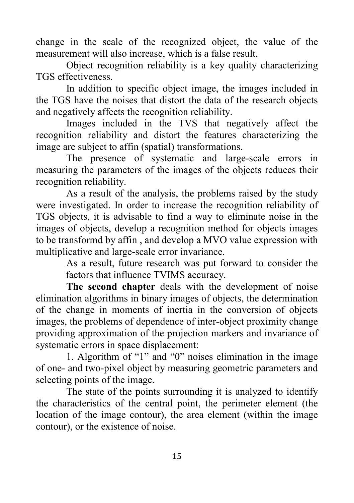change in the scale of the recognized object, the value of the measurement will also increase, which is a false result.

Object recognition reliability is a key quality characterizing TGS effectiveness.

In addition to specific object image, the images included in the TGS have the noises that distort the data of the research objects and negatively affects the recognition reliability.

Images included in the TVS that negatively affect the recognition reliability and distort the features characterizing the image are subject to affin (spatial) transformations.

The presence of systematic and large-scale errors in measuring the parameters of the images of the objects reduces their recognition reliability.

As a result of the analysis, the problems raised by the study were investigated. In order to increase the recognition reliability of TGS objects, it is advisable to find a way to eliminate noise in the images of objects, develop a recognition method for objects images to be transformd by affin , and develop a MVO value expression with multiplicative and large-scale error invariance.

> As a result, future research was put forward to consider the factors that influence TVIMS accuracy.

**The second chapter** deals with the development of noise elimination algorithms in binary images of objects, the determination of the change in moments of inertia in the conversion of objects images, the problems of dependence of inter-object proximity change providing approximation of the projection markers and invariance of systematic errors in space displacement:

1. Algorithm of "1" and "0" noises elimination in the image of one- and two-pixel object by measuring geometric parameters and selecting points of the image.

The state of the points surrounding it is analyzed to identify the characteristics of the central point, the perimeter element (the location of the image contour), the area element (within the image contour), or the existence of noise.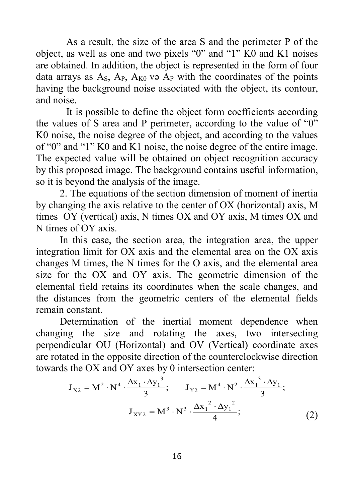As a result, the size of the area S and the perimeter P of the object, as well as one and two pixels "0" and "1" K0 and K1 noises are obtained. In addition, the object is represented in the form of four data arrays as  $A_s$ ,  $A_p$ ,  $A_{K0}$  və  $A_p$  with the coordinates of the points having the background noise associated with the object, its contour, and noise.

It is possible to define the object form coefficients according the values of S area and P perimeter, according to the value of "0" K0 noise, the noise degree of the object, and according to the values of "0" and "1" K0 and K1 noise, the noise degree of the entire image. The expected value will be obtained on object recognition accuracy by this proposed image. The background contains useful information, so it is beyond the analysis of the image.

2. The equations of the section dimension of moment of inertia by changing the axis relative to the center of OX (horizontal) axis, M times OY (vertical) axis, N times OX and OY axis, M times OX and N times of OY axis.

In this case, the section area, the integration area, the upper integration limit for OX axis and the elemental area on the OX axis changes M times, the N times for the O axis, and the elemental area size for the OX and OY axis. The geometric dimension of the elemental field retains its coordinates when the scale changes, and the distances from the geometric centers of the elemental fields remain constant.

Determination of the inertial moment dependence when changing the size and rotating the axes, two intersecting perpendicular OU (Horizontal) and OV (Vertical) coordinate axes are rotated in the opposite direction of the counterclockwise direction towards the OX and OY axes by 0 intersection center:

$$
J_{X2} = M^{2} \cdot N^{4} \cdot \frac{\Delta x_{1} \cdot \Delta y_{1}^{3}}{3}; \qquad J_{Y2} = M^{4} \cdot N^{2} \cdot \frac{\Delta x_{1}^{3} \cdot \Delta y_{1}}{3};
$$

$$
J_{XYZ} = M^{3} \cdot N^{3} \cdot \frac{\Delta x_{1}^{2} \cdot \Delta y_{1}^{2}}{4};
$$
(2)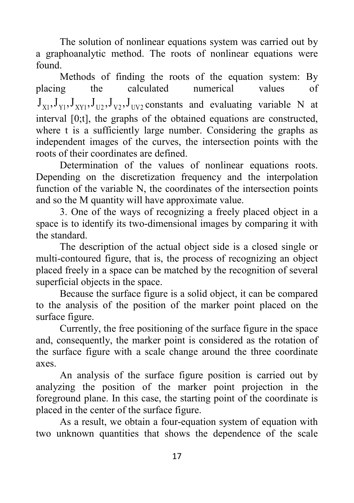The solution of nonlinear equations system was carried out by a graphoanalytic method. The roots of nonlinear equations were found.

Methods of finding the roots of the equation system: By placing the calculated numerical values of  $J_{x_1}, J_{y_1}, J_{x_2}, J_{y_2}, J_{y_2}, J_{y_2}$  constants and evaluating variable N at interval [0;t], the graphs of the obtained equations are constructed, where t is a sufficiently large number. Considering the graphs as independent images of the curves, the intersection points with the roots of their coordinates are defined.

Determination of the values of nonlinear equations roots. Depending on the discretization frequency and the interpolation function of the variable N, the coordinates of the intersection points and so the M quantity will have approximate value.

3. One of the ways of recognizing a freely placed object in a space is to identify its two-dimensional images by comparing it with the standard.

The description of the actual object side is a closed single or multi-contoured figure, that is, the process of recognizing an object placed freely in a space can be matched by the recognition of several superficial objects in the space.

Because the surface figure is a solid object, it can be compared to the analysis of the position of the marker point placed on the surface figure.

Currently, the free positioning of the surface figure in the space and, consequently, the marker point is considered as the rotation of the surface figure with a scale change around the three coordinate axes.

An analysis of the surface figure position is carried out by analyzing the position of the marker point projection in the foreground plane. In this case, the starting point of the coordinate is placed in the center of the surface figure.

As a result, we obtain a four-equation system of equation with two unknown quantities that shows the dependence of the scale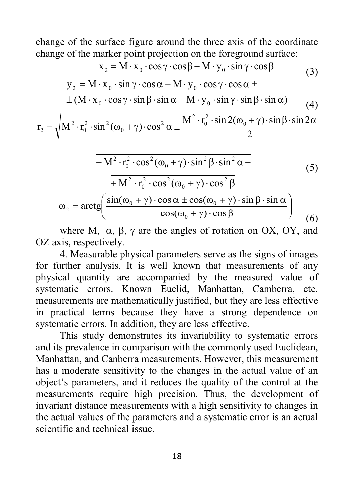change of the surface figure around the three axis of the coordinate change of the marker point projection on the foreground surface:

$$
x_2 = M \cdot x_0 \cdot \cos \gamma \cdot \cos \beta - M \cdot y_0 \cdot \sin \gamma \cdot \cos \beta
$$
\n
$$
y_2 = M \cdot x_0 \cdot \sin \gamma \cdot \cos \alpha + M \cdot y_0 \cdot \cos \gamma \cdot \cos \alpha \pm
$$
\n
$$
\pm (M \cdot x_0 \cdot \cos \gamma \cdot \sin \beta \cdot \sin \alpha - M \cdot y_0 \cdot \sin \gamma \cdot \sin \beta \cdot \sin \alpha)
$$
\n(4)

$$
r_2 = \sqrt{M^2 \cdot r_0^2 \cdot \sin^2(\omega_0 + \gamma) \cdot \cos^2 \alpha \pm \frac{M^2 \cdot r_0^2 \cdot \sin 2(\omega_0 + \gamma) \cdot \sin \beta \cdot \sin 2\alpha}{2}} +
$$

$$
\overline{+M^2 \cdot r_0^2 \cdot \cos^2(\omega_0 + \gamma) \cdot \sin^2 \beta \cdot \sin^2 \alpha +}
$$
\n
$$
+ M^2 \cdot r_0^2 \cdot \cos^2(\omega_0 + \gamma) \cdot \cos^2 \beta
$$
\n
$$
\omega_2 = \arctg\left(\frac{\sin(\omega_0 + \gamma) \cdot \cos \alpha \pm \cos(\omega_0 + \gamma) \cdot \sin \beta \cdot \sin \alpha}{\cos(\omega_0 + \gamma) \cdot \cos \beta}\right)
$$
\n(6)

where M,  $\alpha$ ,  $\beta$ ,  $\gamma$  are the angles of rotation on OX, OY, and OZ axis, respectively.

4. Measurable physical parameters serve as the signs of images for further analysis. It is well known that measurements of any physical quantity are accompanied by the measured value of systematic errors. Known Euclid, Manhattan, Camberra, etc. measurements are mathematically justified, but they are less effective in practical terms because they have a strong dependence on systematic errors. In addition, they are less effective.

This study demonstrates its invariability to systematic errors and its prevalence in comparison with the commonly used Euclidean, Manhattan, and Canberra measurements. However, this measurement has a moderate sensitivity to the changes in the actual value of an object's parameters, and it reduces the quality of the control at the measurements require high precision. Thus, the development of invariant distance measurements with a high sensitivity to changes in the actual values of the parameters and a systematic error is an actual scientific and technical issue.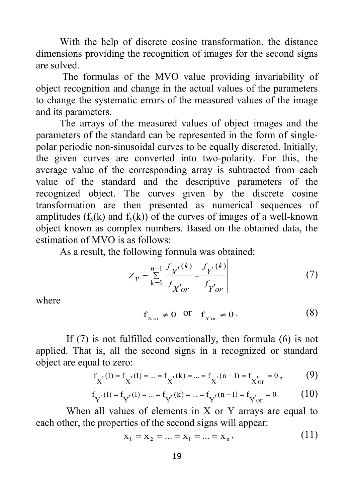With the help of discrete cosine transformation, the distance dimensions providing the recognition of images for the second signs are solved.

The formulas of the MVO value providing invariability of object recognition and change in the actual values of the parameters to change the systematic errors of the measured values of the image and its parameters.

The arrays of the measured values of object images and the parameters of the standard can be represented in the form of singlepolar periodic non-sinusoidal curves to be equally discreted. Initially, the given curves are converted into two-polarity. For this, the average value of the corresponding array is subtracted from each value of the standard and the descriptive parameters of the recognized object. The curves given by the discrete cosine transformation are then presented as numerical sequences of amplitudes  $(f_x(k)$  and  $f_y(k)$  of the curves of images of a well-known object known as complex numbers. Based on the obtained data, the estimation of MVO is as follows:

As a result, the following formula was obtained:

$$
Z_{y} = \sum_{k=1}^{n-1} \left| \frac{f_{X}(k)}{f_{X'or}} - \frac{f_{Y}(k)}{f_{Y'or}} \right|
$$
 (7)

where

$$
f_{X or} \neq 0 \quad \text{or} \quad f_{Y or} \neq 0 \,. \tag{8}
$$

If (7) is not fulfilled conventionally, then formula (6) is not applied. That is, all the second signs in a recognized or standard object are equal to zero:

$$
f_{X} (1) = f_{X} (1) = ... = f_{X} (k) = ... = f_{X} (n-1) = f_{X or} = 0 , \qquad (9)
$$

$$
f_{Y}(1) = f_{Y}(1) = ... = f_{Y}(k) = ... = f_{Y}(n-1) = f_{Y' or} = 0
$$
(10)

When all values of elements in  $X$  or  $Y$  arrays are equal to each other, the properties of the second signs will appear:

$$
\mathbf{x}_1 = \mathbf{x}_2 = \dots = \mathbf{x}_i = \dots = \mathbf{x}_n,\tag{11}
$$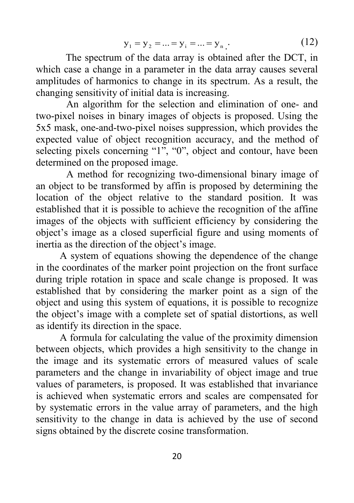$$
y_1 = y_2 = ... = y_i = ... = y_n
$$
 (12)

The spectrum of the data array is obtained after the DCT, in which case a change in a parameter in the data array causes several amplitudes of harmonics to change in its spectrum. As a result, the changing sensitivity of initial data is increasing.

An algorithm for the selection and elimination of one- and two-pixel noises in binary images of objects is proposed. Using the 5x5 mask, one-and-two-pixel noises suppression, which provides the expected value of object recognition accuracy, and the method of selecting pixels concerning "1", "0", object and contour, have been determined on the proposed image.

A method for recognizing two-dimensional binary image of an object to be transformed by affin is proposed by determining the location of the object relative to the standard position. It was established that it is possible to achieve the recognition of the affine images of the objects with sufficient efficiency by considering the object's image as a closed superficial figure and using moments of inertia as the direction of the object's image.

A system of equations showing the dependence of the change in the coordinates of the marker point projection on the front surface during triple rotation in space and scale change is proposed. It was established that by considering the marker point as a sign of the object and using this system of equations, it is possible to recognize the object's image with a complete set of spatial distortions, as well as identify its direction in the space.

A formula for calculating the value of the proximity dimension between objects, which provides a high sensitivity to the change in the image and its systematic errors of measured values of scale parameters and the change in invariability of object image and true values of parameters, is proposed. It was established that invariance is achieved when systematic errors and scales are compensated for by systematic errors in the value array of parameters, and the high sensitivity to the change in data is achieved by the use of second signs obtained by the discrete cosine transformation.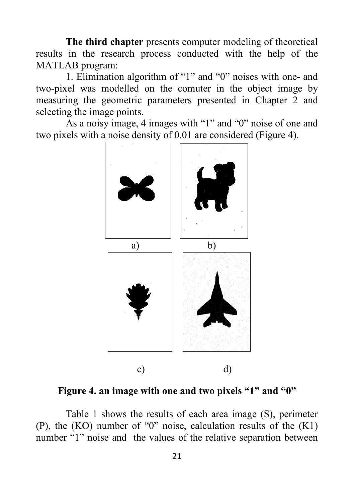**The third chapter** presents computer modeling of theoretical results in the research process conducted with the help of the MATLAB program:

1. Elimination algorithm of "1" and "0" noises with one- and two-pixel was modelled on the comuter in the object image by measuring the geometric parameters presented in Chapter 2 and selecting the image points.

As a noisy image, 4 images with "1" and "0" noise of one and two pixels with a noise density of 0.01 are considered (Figure 4).



**Figure 4. an image with one and two pixels "1" and "0"**

Table 1 shows the results of each area image (S), perimeter (P), the  $(KO)$  number of "0" noise, calculation results of the  $(K1)$ number "1" noise and the values of the relative separation between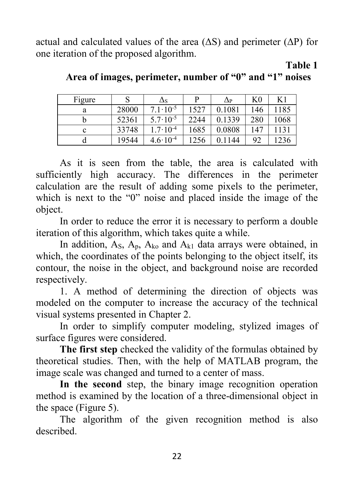actual and calculated values of the area  $( \Delta S)$  and perimeter  $( \Delta P)$  for one iteration of the proposed algorithm.

**Table 1**

| Figure |       | $\Delta$ s          | D    | $\Delta P$ | K0  | K1   |
|--------|-------|---------------------|------|------------|-----|------|
| a      | 28000 | $7.1 \cdot 10^{-5}$ | 1527 | 0.1081     | 146 | 1185 |
|        | 52361 | $5.7 \cdot 10^{-5}$ | 2244 | 0.1339     | 280 | 1068 |
| c      | 33748 | $1.7 \cdot 10^{-4}$ | 1685 | 0.0808     | 147 | 1131 |
|        | 19544 | $4.6 \cdot 10^{-4}$ | 1256 | 0.1144     | 92  | 1236 |

**Area of images, perimeter, number of "0" and "1" noises**

As it is seen from the table, the area is calculated with sufficiently high accuracy. The differences in the perimeter calculation are the result of adding some pixels to the perimeter, which is next to the "0" noise and placed inside the image of the object.

In order to reduce the error it is necessary to perform a double iteration of this algorithm, which takes quite a while.

In addition,  $A_s$ ,  $A_p$ ,  $A_{ko}$  and  $A_{k1}$  data arrays were obtained, in which, the coordinates of the points belonging to the object itself, its contour, the noise in the object, and background noise are recorded respectively.

1. A method of determining the direction of objects was modeled on the computer to increase the accuracy of the technical visual systems presented in Chapter 2.

In order to simplify computer modeling, stylized images of surface figures were considered.

**The first step** checked the validity of the formulas obtained by theoretical studies. Then, with the help of MATLAB program, the image scale was changed and turned to a center of mass.

**In the second** step, the binary image recognition operation method is examined by the location of a three-dimensional object in the space (Figure 5).

The algorithm of the given recognition method is also described.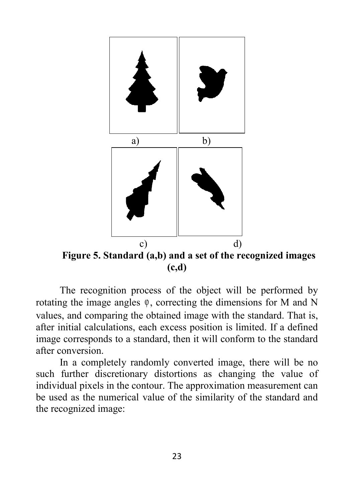

The recognition process of the object will be performed by rotating the image angles  $\varphi$ , correcting the dimensions for M and N values, and comparing the obtained image with the standard. That is, after initial calculations, each excess position is limited. If a defined image corresponds to a standard, then it will conform to the standard after conversion.

In a completely randomly converted image, there will be no such further discretionary distortions as changing the value of individual pixels in the contour. The approximation measurement can be used as the numerical value of the similarity of the standard and the recognized image: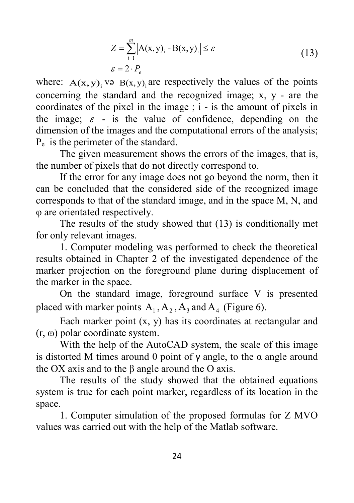$$
Z = \sum_{i=1}^{m} |A(x, y)_i - B(x, y)_i| \le \varepsilon
$$
  
\n
$$
\varepsilon = 2 \cdot P_e
$$
\n(13)

where:  $A(x, y)$ , və  $B(x, y)$  are respectively the values of the points concerning the standard and the recognized image; x, y - are the coordinates of the pixel in the image ; i - is the amount of pixels in the image;  $\varepsilon$  - is the value of confidence, depending on the dimension of the images and the computational errors of the analysis; Pe is the perimeter of the standard.

The given measurement shows the errors of the images, that is, the number of pixels that do not directly correspond to.

If the error for any image does not go beyond the norm, then it can be concluded that the considered side of the recognized image corresponds to that of the standard image, and in the space M, N, and φ are orientated respectively.

The results of the study showed that (13) is conditionally met for only relevant images.

1. Computer modeling was performed to check the theoretical results obtained in Chapter 2 of the investigated dependence of the marker projection on the foreground plane during displacement of the marker in the space.

On the standard image, foreground surface V is presented placed with marker points  $A_1, A_2, A_3$  and  $A_4$  (Figure 6).

Each marker point  $(x, y)$  has its coordinates at rectangular and (r, ω) polar coordinate system.

With the help of the AutoCAD system, the scale of this image is distorted M times around 0 point of  $γ$  angle, to the α angle around the OX axis and to the β angle around the O axis.

The results of the study showed that the obtained equations system is true for each point marker, regardless of its location in the space.

1. Computer simulation of the proposed formulas for Z MVO values was carried out with the help of the Matlab software.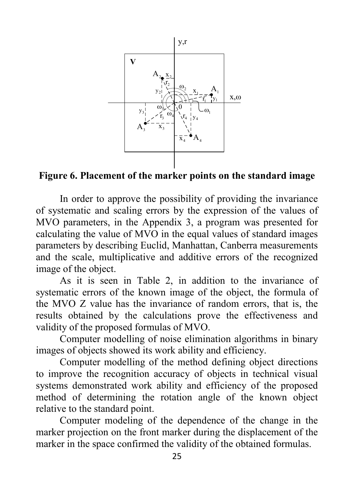

**Figure 6. Placement of the marker points on the standard image**

In order to approve the possibility of providing the invariance of systematic and scaling errors by the expression of the values of MVO parameters, in the Appendix 3, a program was presented for calculating the value of MVO in the equal values of standard images parameters by describing Euclid, Manhattan, Canberra measurements and the scale, multiplicative and additive errors of the recognized image of the object.

As it is seen in Table 2, in addition to the invariance of systematic errors of the known image of the object, the formula of the MVO Z value has the invariance of random errors, that is, the results obtained by the calculations prove the effectiveness and validity of the proposed formulas of MVO.

Computer modelling of noise elimination algorithms in binary images of objects showed its work ability and efficiency.

Computer modelling of the method defining object directions to improve the recognition accuracy of objects in technical visual systems demonstrated work ability and efficiency of the proposed method of determining the rotation angle of the known object relative to the standard point.

Computer modeling of the dependence of the change in the marker projection on the front marker during the displacement of the marker in the space confirmed the validity of the obtained formulas.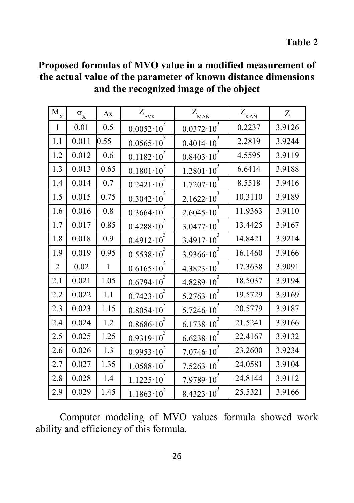**Table 2** 

| $\mathbf{\bar{M}}_{\text{X}}$ | $\sigma_{\rm X}$ | $\Delta x$   | $Z_{\underline{\mathrm{FVK}}}$           | $Z_{_{\rm MAN}}$                             | $Z_{\rm KAN}$ | Z      |
|-------------------------------|------------------|--------------|------------------------------------------|----------------------------------------------|---------------|--------|
| $\mathbf{1}$                  | 0.01             | 0.5          | $\overline{3}$<br>$0.0052 \cdot 10^{-7}$ | $\overline{\mathbf{3}}$<br>$0.0372 \cdot 10$ | 0.2237        | 3.9126 |
| 1.1                           | 0.011            | 0.55         | $0.0565 \cdot 10$                        | 3<br>$0.4014 \cdot 10$                       | 2.2819        | 3.9244 |
| 1.2                           | 0.012            | 0.6          | 3<br>$0.1182 \cdot 10$                   | 3<br>$0.8403 \cdot 10$                       | 4.5595        | 3.9119 |
| 1.3                           | 0.013            | 0.65         | 3<br>$0.1801 \cdot 10$                   | 3<br>$1.2801 \cdot 10$                       | 6.6414        | 3.9188 |
| 1.4                           | 0.014            | 0.7          | $0.2421 \cdot 10^{-7}$                   | 3<br>$1.7207 \cdot 10$                       | 8.5518        | 3.9416 |
| 1.5                           | 0.015            | 0.75         | $0.3042 \cdot 10$                        | 3<br>$2.1622 \cdot 10$                       | 10.3110       | 3.9189 |
| 1.6                           | 0.016            | $0.8\,$      | 3<br>$0.3664 \cdot 10$                   | 3<br>$2.6045 \cdot 10$                       | 11.9363       | 3.9110 |
| 1.7                           | 0.017            | 0.85         | 3<br>$0.4288 \cdot 10$                   | 3<br>$3.0477 \cdot 10$                       | 13.4425       | 3.9167 |
| 1.8                           | 0.018            | 0.9          | $0.4912 \cdot 10$                        | 3<br>$3.4917 \cdot 10$                       | 14.8421       | 3.9214 |
| 1.9                           | 0.019            | 0.95         | 3<br>$0.5538 \cdot 10$                   | 3<br>$3.9366 \cdot 10$                       | 16.1460       | 3.9166 |
| $\overline{2}$                | 0.02             | $\mathbf{1}$ | 3<br>$0.6165 \cdot 10$                   | 3<br>$4.3823 \cdot 10$                       | 17.3638       | 3.9091 |
| 2.1                           | 0.021            | 1.05         | 3<br>$0.6794 \cdot 10$                   | 3<br>$4.8289 \cdot 10$                       | 18.5037       | 3.9194 |
| 2.2                           | 0.022            | 1.1          | 3<br>$0.7423 \cdot 10$                   | 3<br>$5.2763 \cdot 10$                       | 19.5729       | 3.9169 |
| 2.3                           | 0.023            | 1.15         | 3<br>$0.8054 \cdot 10$                   | 3<br>$5.7246 \cdot 10$                       | 20.5779       | 3.9187 |
| 2.4                           | 0.024            | 1.2          | 3<br>$0.8686 \cdot 10$                   | 3<br>$6.1738 \cdot 10$                       | 21.5241       | 3.9166 |
| 2.5                           | 0.025            | 1.25         | 3<br>$0.9319 \cdot 10$                   | 3<br>$6.6238 \cdot 10$                       | 22.4167       | 3.9132 |
| 2.6                           | 0.026            | 1.3          | 3<br>$0.9953 \cdot 10$                   | 3<br>$7.0746 \cdot 10$                       | 23.2600       | 3.9234 |
| 2.7                           | 0.027            | 1.35         | 3<br>$1.0588 \cdot 10$                   | 3<br>$7.5263 \cdot 10$                       | 24.0581       | 3.9104 |
| 2.8                           | 0.028            | 1.4          | 3<br>$1.1225 \cdot 10$                   | 3<br>$7.9789 \cdot 10$                       | 24.8144       | 3.9112 |
| 2.9                           | 0.029            | 1.45         | 3<br>$1.1863 \cdot 10$                   | 3<br>$8.4323 \cdot 10$                       | 25.5321       | 3.9166 |

**Proposed formulas of MVO value in a modified measurement of the actual value of the parameter of known distance dimensions and the recognized image of the object**

Computer modeling of MVO values formula showed work ability and efficiency of this formula.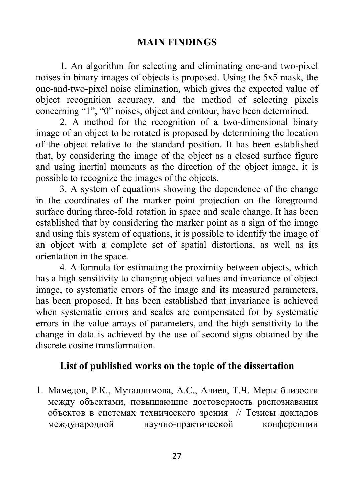### **MAIN FINDINGS**

1. An algorithm for selecting and eliminating one-and two-pixel noises in binary images of objects is proposed. Using the 5x5 mask, the one-and-two-pixel noise elimination, which gives the expected value of object recognition accuracy, and the method of selecting pixels concerning "1", "0" noises, object and contour, have been determined.

2. A method for the recognition of a two-dimensional binary image of an object to be rotated is proposed by determining the location of the object relative to the standard position. It has been established that, by considering the image of the object as a closed surface figure and using inertial moments as the direction of the object image, it is possible to recognize the images of the objects.

3. A system of equations showing the dependence of the change in the coordinates of the marker point projection on the foreground surface during three-fold rotation in space and scale change. It has been established that by considering the marker point as a sign of the image and using this system of equations, it is possible to identify the image of an object with a complete set of spatial distortions, as well as its orientation in the space.

4. A formula for estimating the proximity between objects, which has a high sensitivity to changing object values and invariance of object image, to systematic errors of the image and its measured parameters, has been proposed. It has been established that invariance is achieved when systematic errors and scales are compensated for by systematic errors in the value arrays of parameters, and the high sensitivity to the change in data is achieved by the use of second signs obtained by the discrete cosine transformation.

## **List of published works on the topic of the dissertation**

1. Мамедов, Р.К., Муталлимова, А.С., Алиев, Т.Ч. Меры близости между объектами, повышающие достоверность распознавания объектов в системах технического зрения // Тезисы докладов международной научно-практической конференции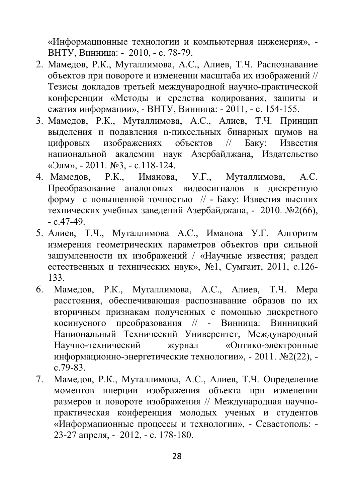«Информационные технологии и компьютерная инженерия», - ВНТУ, Винница: - 2010, - с. 78-79.

- 2. Мамедов, Р.К., Муталлимова, А.С., Алиев, Т.Ч. Распознавание объектов при повороте и изменении масштаба их изображений // Тезисы докладов третьей международной научно-практической конференции «Методы и средства кодирования, защиты и сжатия информации», - ВНТУ, Винница: - 2011, - с. 154-155.
- 3. Мамедов, Р.К., Муталлимова, А.С., Алиев, Т.Ч. Принцип выделения и подавления n-пиксельных бинарных шумов на цифровых изображениях объектов // Баку: Известия национальной академии наук Азербайджана, Издательство «Элм», - 2011. №3, - с.118-124.
- 4. Мамедов, Р.К., Иманова, У.Г., Муталлимова, А.С. Преобразование аналоговых видеосигналов в дискретную форму с повышенной точностью // - Баку: Известия высших технических учебных заведений Азербайджана, - 2010. №2(66),  $-c.47-49.$
- 5. Алиев, Т.Ч., Муталлимова А.С., Иманова У.Г. Алгоритм измерения геометрических параметров объектов при сильной зашумленности их изображений / «Научные известия; раздел естественных и технических наук», №1, Сумгаит, 2011, с.126- 133.
- 6. Мамедов, Р.К., Муталлимова, А.С., Алиев, Т.Ч. Мера расстояния, обеспечивающая распознавание образов по их вторичным признакам полученных с помощью дискретного косинусного преобразования // - Винница: Винницкий Национальный Технический Университет, Международный Научно-технический журнал «Оптико-электронные информационно-энергетические технологии», - 2011. №2(22), c.79-83.
- 7. Мамедов, Р.К., Муталлимова, А.С., Алиев, Т.Ч. Определение моментов инерции изображения объекта при изменении размеров и повороте изображения // Международная научнопрактическая конференция молодых ученых и студентов «Информационные процессы и технологии», - Севастополь: - 23-27 апреля, - 2012, - c. 178-180.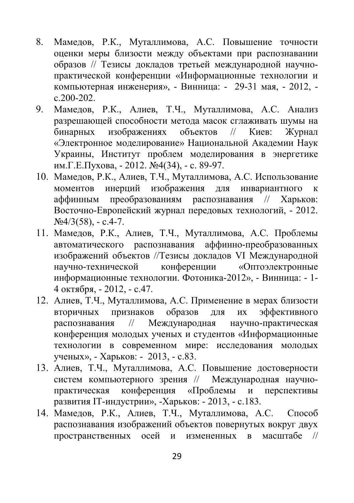- 8. Мамедов, Р.К., Муталлимова, А.С. Повышение точности оценки меры близости между объектами при распознавании образов // Тезисы докладов третьей международной научнопрактической конференции «Информационные технологии и компьютерная инженерия», - Винница: - 29-31 мая, - 2012,  $c.200 - 202$ .
- 9. Мамедов, Р.К., Алиев, T.Ч., Муталлимова, А.С. Анализ разрешающей способности метода масок сглаживать шумы на бинарных изображениях объектов // Киев: Журнал «Электронное моделирование» Национальной Академии Наук Украины, Институт проблем моделирования в энергетике им.Г.Е.Пухова, - 2012. №4(34), - c. 89-97.
- 10. Мамедов, Р.К., Алиев, T.Ч., Муталлимова, А.С. Использование моментов инерций изображения для инвариантного к аффинным преобразованиям распознавания // Харьков: Восточно-Европейский журнал передовых технологий, - 2012.  $N_2/3(58)$ , - c.4-7.
- 11. Мамедов, Р.К., Алиев, T.Ч., Муталлимова, А.С. Проблемы автоматического распознавания аффинно-преобразованных изображений объектов //Тезисы докладов VI Международной научно-технической конференции «Оптоэлектронные информационные технологии. Фотоника-2012», - Винница: - 1- 4 октября, - 2012, - c.47.
- 12. Алиев, T.Ч., Муталлимова, А.С. Применение в мерах близости вторичных признаков образов для их эффективного распознавания // Международная научно-практическая конференция молодых ученых и студентов «Информационные технологии в современном мире: исследования молодых ученых», - Харьков: - 2013, - c.83.
- 13. Алиев, T.Ч., Муталлимова, А.С. Повышение достоверности систем компьютерного зрения // Международная научнопрактическая конференция «Проблемы и перспективы развития IT-индустрии», -Харьков: - 2013, - c.183.
- 14. Мамедов, Р.К., Алиев, T.Ч., Муталлимова, А.С. Способ распознавания изображений объектов повернутых вокруг двух пространственных осей и измененных в масштабе //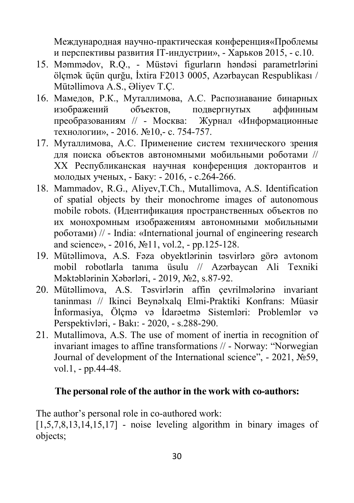Международная научно-практическая конференция«Проблемы и перспективы развития IT-индустрии», - Харьков 2015, - c.10.

- 15. Məmmədov, R.Q., Müstəvi figurların həndəsi parametrlərini ölçmək üçün qurğu, İxtira F2013 0005, Azərbaycan Respublikası / Mütəllimova A.S., Əliyev T.Ç.
- 16. Мамедов, Р.К., Муталлимова, А.С. Распознавание бинарных изображений объектов, подвергнутых аффинным преобразованиям // - Москва: Журнал «Информационные технологии», - 2016. №10,- с. 754-757.
- 17. Муталлимова, А.С. Применение систем технического зрения для поиска объектов автономными мобильными роботами // ХХ Республиканская научная конференция докторантов и молодых ученых, - Баку: - 2016, - c.264-266.
- 18. Mammadov, R.G., Aliyev,T.Ch., Mutallimova, A.S. Identification of spatial objects by their monochrome images of autonomous mobile robots. (Идентификация пространственных объектов по их монохромным изображениям автономными мобильными роботами) // - India: «International journal of engineering research and science», - 2016, №11, vol.2, - pp.125-128.
- 19. Mütəllimova, A.S. Fəza obyektlərinin təsvirlərə görə avtonom mobil robotlarla tanıma üsulu // Azərbaycan Ali Texniki Məktəblərinin Xəbərləri, - 2019, №2, s.87-92.
- 20. Mütəllimova, A.S. Təsvirlərin affin çevrilmələrinə invariant taninması // Ikinci Beynəlxalq Elmi-Praktiki Konfrans: Müasir İnformasiya, Ölçmə və İdarəetmə Sistemləri: Problemlər və Perspektivləri, - Bakı: - 2020, - s.288-290.
- 21. Mutallimova, A.S. The use of moment of inertia in recognition of invariant images to affine transformations // - Norway: "Norwegian Journal of development of the International science", - 2021, №59, vol.1, - pp.44-48.

### **The personal role of the author in the work with co-authors:**

The author's personal role in co-authored work:

 $[1,5,7,8,13,14,15,17]$  - noise leveling algorithm in binary images of objects;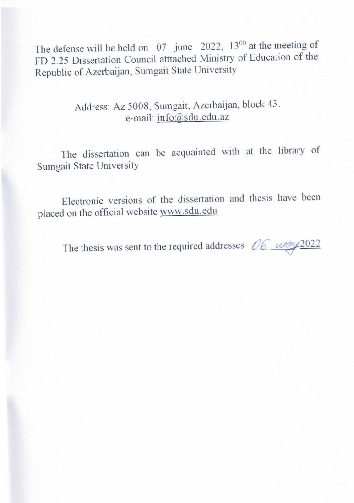The defense will be held on  $07$  june  $2022$ ,  $13^{00}$  at the meeting of rue dele  $[3,2,10]$  DISSCHATON COUNCIL attached  $\overline{M}$  insert  $\overline{S}$  between  $\overline{M}$ Republic of Azerbaijan, Sumgait State University

 $\frac{1}{2}$   $\frac{1}{2}$   $\frac{1}{2}$   $\frac{1}{2}$   $\frac{1}{2}$   $\frac{1}{2}$   $\frac{1}{2}$   $\frac{1}{2}$   $\frac{1}{2}$   $\frac{1}{2}$   $\frac{1}{2}$   $\frac{1}{2}$   $\frac{1}{2}$   $\frac{1}{2}$   $\frac{1}{2}$   $\frac{1}{2}$   $\frac{1}{2}$   $\frac{1}{2}$   $\frac{1}{2}$   $\frac{1}{2}$   $\frac{1}{2}$   $\frac{1}{2}$  Address:  $AZ$  5006, Sumgan, Azerbaijan

 $\frac{1}{2}$   $\frac{1}{2}$   $\frac{1}{2}$   $\frac{1}{2}$   $\frac{1}{2}$   $\frac{1}{2}$   $\frac{1}{2}$   $\frac{1}{2}$   $\frac{1}{2}$   $\frac{1}{2}$   $\frac{1}{2}$   $\frac{1}{2}$   $\frac{1}{2}$   $\frac{1}{2}$   $\frac{1}{2}$   $\frac{1}{2}$   $\frac{1}{2}$   $\frac{1}{2}$   $\frac{1}{2}$   $\frac{1}{2}$   $\frac{1}{2}$   $\frac{1}{2}$  m can be acquainted w

 $\ddot{\theta}$  disserted with a disserted the dissertation can be acquainted with a the library of the library of  $\ddot{\theta}$ Electronic version

The thesis was sent to the required ad

 $E$